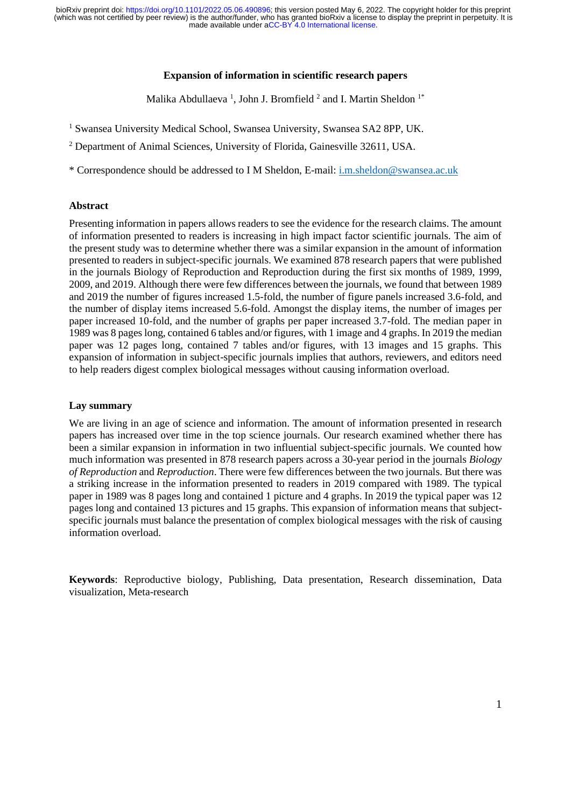made available under [aCC-BY 4.0 International license.](http://creativecommons.org/licenses/by/4.0/) (which was not certified by peer review) is the author/funder, who has granted bioRxiv a license to display the preprint in perpetuity. It is bioRxiv preprint doi: [https://doi.org/10.1101/2022.05.06.490896;](https://doi.org/10.1101/2022.05.06.490896) this version posted May 6, 2022. The copyright holder for this preprint

### **Expansion of information in scientific research papers**

Malika Abdullaeva<sup>1</sup>, John J. Bromfield<sup>2</sup> and I. Martin Sheldon<sup>1\*</sup>

- <sup>1</sup> Swansea University Medical School, Swansea University, Swansea SA2 8PP, UK.
- <sup>2</sup> Department of Animal Sciences, University of Florida, Gainesville 32611, USA.

\* Correspondence should be addressed to I M Sheldon, E-mail: [i.m.sheldon@swansea.ac.uk](mailto:i.m.sheldon@swansea.ac.uk)

# **Abstract**

Presenting information in papers allows readers to see the evidence for the research claims. The amount of information presented to readers is increasing in high impact factor scientific journals. The aim of the present study was to determine whether there was a similar expansion in the amount of information presented to readers in subject-specific journals. We examined 878 research papers that were published in the journals Biology of Reproduction and Reproduction during the first six months of 1989, 1999, 2009, and 2019. Although there were few differences between the journals, we found that between 1989 and 2019 the number of figures increased 1.5-fold, the number of figure panels increased 3.6-fold, and the number of display items increased 5.6-fold. Amongst the display items, the number of images per paper increased 10-fold, and the number of graphs per paper increased 3.7-fold. The median paper in 1989 was 8 pages long, contained 6 tables and/or figures, with 1 image and 4 graphs. In 2019 the median paper was 12 pages long, contained 7 tables and/or figures, with 13 images and 15 graphs. This expansion of information in subject-specific journals implies that authors, reviewers, and editors need to help readers digest complex biological messages without causing information overload.

### **Lay summary**

We are living in an age of science and information. The amount of information presented in research papers has increased over time in the top science journals. Our research examined whether there has been a similar expansion in information in two influential subject-specific journals. We counted how much information was presented in 878 research papers across a 30-year period in the journals *Biology of Reproduction* and *Reproduction*. There were few differences between the two journals. But there was a striking increase in the information presented to readers in 2019 compared with 1989. The typical paper in 1989 was 8 pages long and contained 1 picture and 4 graphs. In 2019 the typical paper was 12 pages long and contained 13 pictures and 15 graphs. This expansion of information means that subjectspecific journals must balance the presentation of complex biological messages with the risk of causing information overload.

**Keywords**: Reproductive biology, Publishing, Data presentation, Research dissemination, Data visualization, Meta-research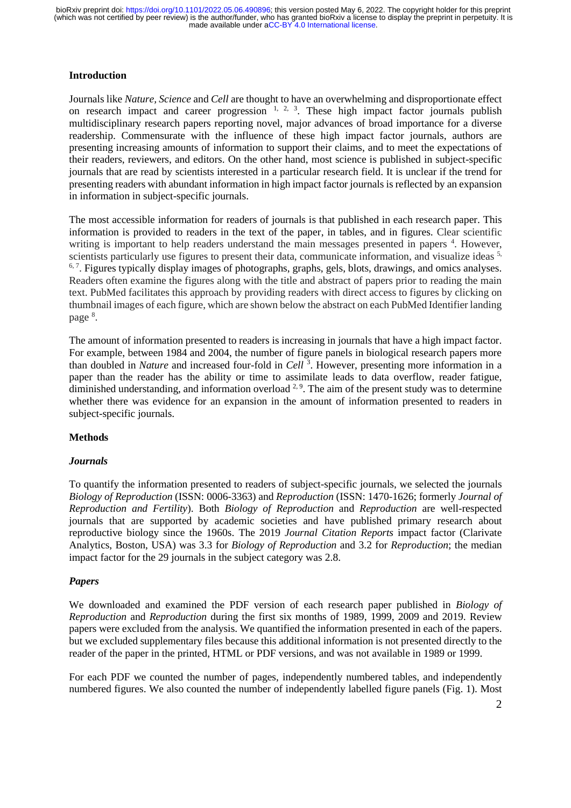# **Introduction**

Journals like *Nature, Science* and *Cell* are thought to have an overwhelming and disproportionate effect on research impact and career progression  $1, 2, 3$ . These high impact factor journals publish multidisciplinary research papers reporting novel, major advances of broad importance for a diverse readership. Commensurate with the influence of these high impact factor journals, authors are presenting increasing amounts of information to support their claims, and to meet the expectations of their readers, reviewers, and editors. On the other hand, most science is published in subject-specific journals that are read by scientists interested in a particular research field. It is unclear if the trend for presenting readers with abundant information in high impact factor journals is reflected by an expansion in information in subject-specific journals.

The most accessible information for readers of journals is that published in each research paper. This information is provided to readers in the text of the paper, in tables, and in figures. Clear scientific writing is important to help readers understand the main messages presented in papers<sup>4</sup>. However, scientists particularly use figures to present their data, communicate information, and visualize ideas <sup>5,</sup>  $6, 7$ . Figures typically display images of photographs, graphs, gels, blots, drawings, and omics analyses. Readers often examine the figures along with the title and abstract of papers prior to reading the main text. PubMed facilitates this approach by providing readers with direct access to figures by clicking on thumbnail images of each figure, which are shown below the abstract on each PubMed Identifier landing page<sup>8</sup>.

The amount of information presented to readers is increasing in journals that have a high impact factor. For example, between 1984 and 2004, the number of figure panels in biological research papers more than doubled in *Nature* and increased four-fold in *Cell* <sup>3</sup> . However, presenting more information in a paper than the reader has the ability or time to assimilate leads to data overflow, reader fatigue, diminished understanding, and information overload  $2.9$ . The aim of the present study was to determine whether there was evidence for an expansion in the amount of information presented to readers in subject-specific journals.

# **Methods**

#### *Journals*

To quantify the information presented to readers of subject-specific journals, we selected the journals *Biology of Reproduction* (ISSN: 0006-3363) and *Reproduction* (ISSN: 1470-1626; formerly *Journal of Reproduction and Fertility*). Both *Biology of Reproduction* and *Reproduction* are well-respected journals that are supported by academic societies and have published primary research about reproductive biology since the 1960s. The 2019 *Journal Citation Reports* impact factor (Clarivate Analytics, Boston, USA) was 3.3 for *Biology of Reproduction* and 3.2 for *Reproduction*; the median impact factor for the 29 journals in the subject category was 2.8.

# *Papers*

We downloaded and examined the PDF version of each research paper published in *Biology of Reproduction* and *Reproduction* during the first six months of 1989, 1999, 2009 and 2019. Review papers were excluded from the analysis. We quantified the information presented in each of the papers. but we excluded supplementary files because this additional information is not presented directly to the reader of the paper in the printed, HTML or PDF versions, and was not available in 1989 or 1999.

For each PDF we counted the number of pages, independently numbered tables, and independently numbered figures. We also counted the number of independently labelled figure panels (Fig. 1). Most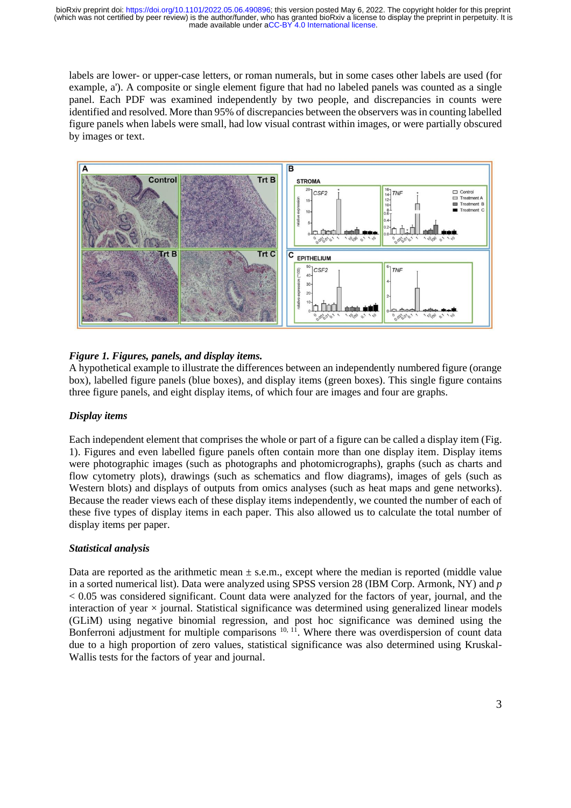labels are lower- or upper-case letters, or roman numerals, but in some cases other labels are used (for example, a'). A composite or single element figure that had no labeled panels was counted as a single panel. Each PDF was examined independently by two people, and discrepancies in counts were identified and resolved. More than 95% of discrepancies between the observers was in counting labelled figure panels when labels were small, had low visual contrast within images, or were partially obscured by images or text.



# *Figure 1. Figures, panels, and display items.*

A hypothetical example to illustrate the differences between an independently numbered figure (orange box), labelled figure panels (blue boxes), and display items (green boxes). This single figure contains three figure panels, and eight display items, of which four are images and four are graphs.

# *Display items*

Each independent element that comprises the whole or part of a figure can be called a display item (Fig. 1). Figures and even labelled figure panels often contain more than one display item. Display items were photographic images (such as photographs and photomicrographs), graphs (such as charts and flow cytometry plots), drawings (such as schematics and flow diagrams), images of gels (such as Western blots) and displays of outputs from omics analyses (such as heat maps and gene networks). Because the reader views each of these display items independently, we counted the number of each of these five types of display items in each paper. This also allowed us to calculate the total number of display items per paper.

# *Statistical analysis*

Data are reported as the arithmetic mean  $\pm$  s.e.m., except where the median is reported (middle value in a sorted numerical list). Data were analyzed using SPSS version 28 (IBM Corp. Armonk, NY) and *p* < 0.05 was considered significant. Count data were analyzed for the factors of year, journal, and the interaction of year  $\times$  journal. Statistical significance was determined using generalized linear models (GLiM) using negative binomial regression, and post hoc significance was demined using the Bonferroni adjustment for multiple comparisons  $10, 11$ . Where there was overdispersion of count data due to a high proportion of zero values, statistical significance was also determined using Kruskal-Wallis tests for the factors of year and journal.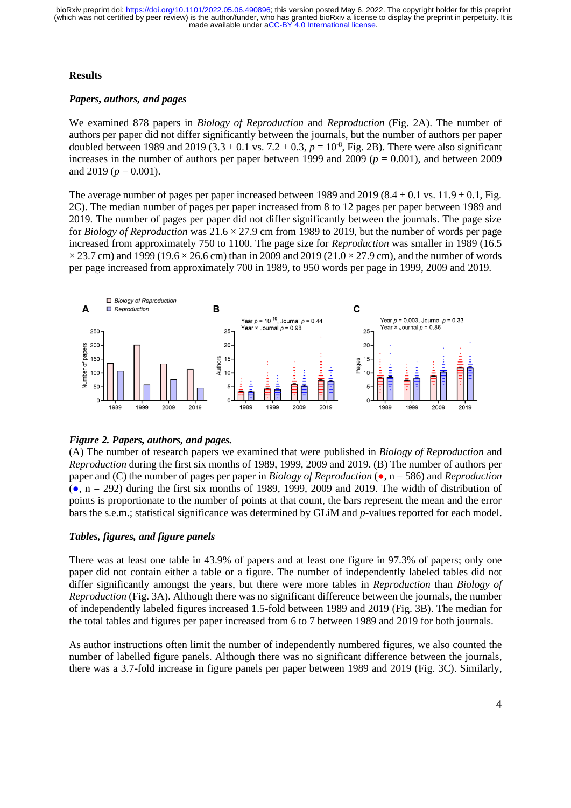# **Results**

# *Papers, authors, and pages*

We examined 878 papers in *Biology of Reproduction* and *Reproduction* (Fig. 2A). The number of authors per paper did not differ significantly between the journals, but the number of authors per paper doubled between 1989 and 2019 (3.3  $\pm$  0.1 vs. 7.2  $\pm$  0.3,  $p = 10^{-8}$ , Fig. 2B). There were also significant increases in the number of authors per paper between 1999 and 2009 ( $p = 0.001$ ), and between 2009 and 2019 ( $p = 0.001$ ).

The average number of pages per paper increased between 1989 and 2019 (8.4  $\pm$  0.1 vs. 11.9  $\pm$  0.1, Fig. 2C). The median number of pages per paper increased from 8 to 12 pages per paper between 1989 and 2019. The number of pages per paper did not differ significantly between the journals. The page size for *Biology of Reproduction* was  $21.6 \times 27.9$  cm from 1989 to 2019, but the number of words per page increased from approximately 750 to 1100. The page size for *Reproduction* was smaller in 1989 (16.5  $\times$  23.7 cm) and 1999 (19.6  $\times$  26.6 cm) than in 2009 and 2019 (21.0  $\times$  27.9 cm), and the number of words per page increased from approximately 700 in 1989, to 950 words per page in 1999, 2009 and 2019.



# *Figure 2. Papers, authors, and pages.*

(A) The number of research papers we examined that were published in *Biology of Reproduction* and *Reproduction* during the first six months of 1989, 1999, 2009 and 2019. (B) The number of authors per paper and (C) the number of pages per paper in *Biology of Reproduction* (●, n = 586) and *Reproduction*  $(e, n = 292)$  during the first six months of 1989, 1999, 2009 and 2019. The width of distribution of points is proportionate to the number of points at that count, the bars represent the mean and the error bars the s.e.m.; statistical significance was determined by GLiM and *p*-values reported for each model.

# *Tables, figures, and figure panels*

There was at least one table in 43.9% of papers and at least one figure in 97.3% of papers; only one paper did not contain either a table or a figure. The number of independently labeled tables did not differ significantly amongst the years, but there were more tables in *Reproduction* than *Biology of Reproduction* (Fig. 3A). Although there was no significant difference between the journals, the number of independently labeled figures increased 1.5-fold between 1989 and 2019 (Fig. 3B). The median for the total tables and figures per paper increased from 6 to 7 between 1989 and 2019 for both journals.

As author instructions often limit the number of independently numbered figures, we also counted the number of labelled figure panels. Although there was no significant difference between the journals, there was a 3.7-fold increase in figure panels per paper between 1989 and 2019 (Fig. 3C). Similarly,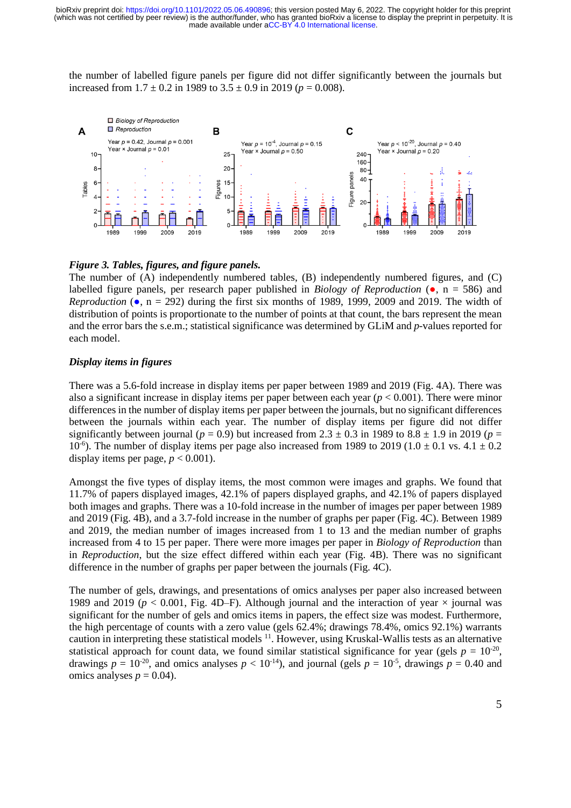made available under [aCC-BY 4.0 International license.](http://creativecommons.org/licenses/by/4.0/) (which was not certified by peer review) is the author/funder, who has granted bioRxiv a license to display the preprint in perpetuity. It is bioRxiv preprint doi: [https://doi.org/10.1101/2022.05.06.490896;](https://doi.org/10.1101/2022.05.06.490896) this version posted May 6, 2022. The copyright holder for this preprint

the number of labelled figure panels per figure did not differ significantly between the journals but increased from  $1.7 \pm 0.2$  in 1989 to  $3.5 \pm 0.9$  in 2019 ( $p = 0.008$ ).



### *Figure 3. Tables, figures, and figure panels.*

The number of (A) independently numbered tables, (B) independently numbered figures, and (C) labelled figure panels, per research paper published in *Biology of Reproduction* (●, n = 586) and *Reproduction* ( $\bullet$ , n = 292) during the first six months of 1989, 1999, 2009 and 2019. The width of distribution of points is proportionate to the number of points at that count, the bars represent the mean and the error bars the s.e.m.; statistical significance was determined by GLiM and *p*-values reported for each model.

### *Display items in figures*

There was a 5.6-fold increase in display items per paper between 1989 and 2019 (Fig. 4A). There was also a significant increase in display items per paper between each year  $(p < 0.001)$ . There were minor differences in the number of display items per paper between the journals, but no significant differences between the journals within each year. The number of display items per figure did not differ significantly between journal ( $p = 0.9$ ) but increased from 2.3  $\pm$  0.3 in 1989 to 8.8  $\pm$  1.9 in 2019 ( $p =$  $10^{-6}$ ). The number of display items per page also increased from 1989 to 2019 (1.0  $\pm$  0.1 vs. 4.1  $\pm$  0.2 display items per page,  $p < 0.001$ ).

Amongst the five types of display items, the most common were images and graphs. We found that 11.7% of papers displayed images, 42.1% of papers displayed graphs, and 42.1% of papers displayed both images and graphs. There was a 10-fold increase in the number of images per paper between 1989 and 2019 (Fig. 4B), and a 3.7-fold increase in the number of graphs per paper (Fig. 4C). Between 1989 and 2019, the median number of images increased from 1 to 13 and the median number of graphs increased from 4 to 15 per paper. There were more images per paper in *Biology of Reproduction* than in *Reproduction*, but the size effect differed within each year (Fig. 4B). There was no significant difference in the number of graphs per paper between the journals (Fig. 4C).

The number of gels, drawings, and presentations of omics analyses per paper also increased between 1989 and 2019 ( $p < 0.001$ , Fig. 4D–F). Although journal and the interaction of year  $\times$  journal was significant for the number of gels and omics items in papers, the effect size was modest. Furthermore, the high percentage of counts with a zero value (gels 62.4%; drawings 78.4%, omics 92.1%) warrants caution in interpreting these statistical models <sup>11</sup>. However, using Kruskal-Wallis tests as an alternative statistical approach for count data, we found similar statistical significance for year (gels  $p = 10^{-20}$ , drawings  $p = 10^{-20}$ , and omics analyses  $p < 10^{-14}$ ), and journal (gels  $p = 10^{-5}$ , drawings  $p = 0.40$  and omics analyses  $p = 0.04$ .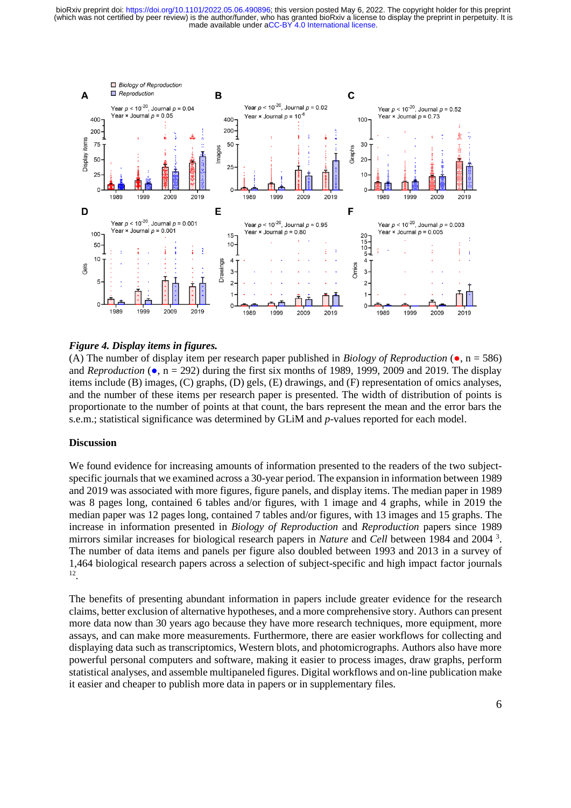made available under [aCC-BY 4.0 International license.](http://creativecommons.org/licenses/by/4.0/) (which was not certified by peer review) is the author/funder, who has granted bioRxiv a license to display the preprint in perpetuity. It is bioRxiv preprint doi: [https://doi.org/10.1101/2022.05.06.490896;](https://doi.org/10.1101/2022.05.06.490896) this version posted May 6, 2022. The copyright holder for this preprint



#### *Figure 4. Display items in figures.*

(A) The number of display item per research paper published in *Biology of Reproduction* ( $\bullet$ , n = 586) and *Reproduction* ( $\bullet$ ,  $n = 292$ ) during the first six months of 1989, 1999, 2009 and 2019. The display items include (B) images, (C) graphs, (D) gels, (E) drawings, and (F) representation of omics analyses, and the number of these items per research paper is presented. The width of distribution of points is proportionate to the number of points at that count, the bars represent the mean and the error bars the s.e.m.; statistical significance was determined by GLiM and *p*-values reported for each model.

#### **Discussion**

We found evidence for increasing amounts of information presented to the readers of the two subjectspecific journals that we examined across a 30-year period. The expansion in information between 1989 and 2019 was associated with more figures, figure panels, and display items. The median paper in 1989 was 8 pages long, contained 6 tables and/or figures, with 1 image and 4 graphs, while in 2019 the median paper was 12 pages long, contained 7 tables and/or figures, with 13 images and 15 graphs. The increase in information presented in *Biology of Reproduction* and *Reproduction* papers since 1989 mirrors similar increases for biological research papers in *Nature* and *Cell* between 1984 and 2004 <sup>3</sup> . The number of data items and panels per figure also doubled between 1993 and 2013 in a survey of 1,464 biological research papers across a selection of subject-specific and high impact factor journals 12 .

The benefits of presenting abundant information in papers include greater evidence for the research claims, better exclusion of alternative hypotheses, and a more comprehensive story. Authors can present more data now than 30 years ago because they have more research techniques, more equipment, more assays, and can make more measurements. Furthermore, there are easier workflows for collecting and displaying data such as transcriptomics, Western blots, and photomicrographs. Authors also have more powerful personal computers and software, making it easier to process images, draw graphs, perform statistical analyses, and assemble multipaneled figures. Digital workflows and on-line publication make it easier and cheaper to publish more data in papers or in supplementary files.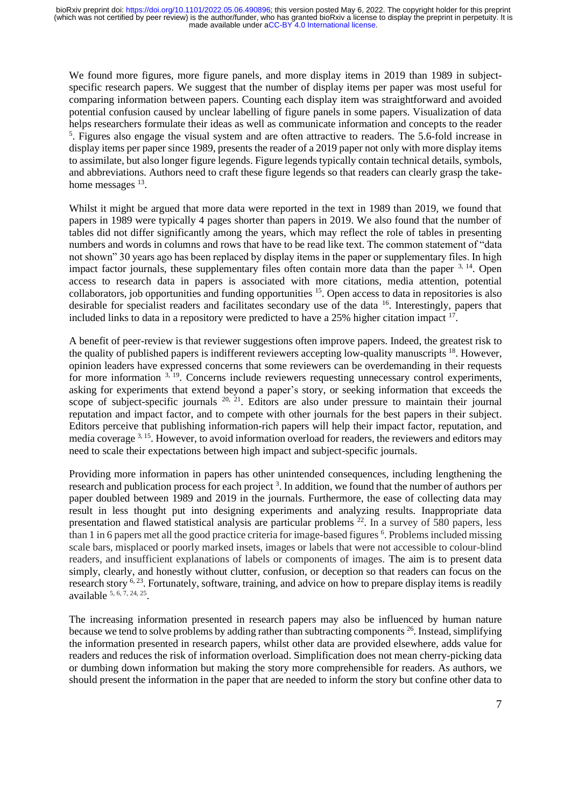made available under [aCC-BY 4.0 International license.](http://creativecommons.org/licenses/by/4.0/) (which was not certified by peer review) is the author/funder, who has granted bioRxiv a license to display the preprint in perpetuity. It is bioRxiv preprint doi: [https://doi.org/10.1101/2022.05.06.490896;](https://doi.org/10.1101/2022.05.06.490896) this version posted May 6, 2022. The copyright holder for this preprint

We found more figures, more figure panels, and more display items in 2019 than 1989 in subjectspecific research papers. We suggest that the number of display items per paper was most useful for comparing information between papers. Counting each display item was straightforward and avoided potential confusion caused by unclear labelling of figure panels in some papers. Visualization of data helps researchers formulate their ideas as well as communicate information and concepts to the reader <sup>5</sup>. Figures also engage the visual system and are often attractive to readers. The 5.6-fold increase in display items per paper since 1989, presents the reader of a 2019 paper not only with more display items to assimilate, but also longer figure legends. Figure legends typically contain technical details, symbols, and abbreviations. Authors need to craft these figure legends so that readers can clearly grasp the takehome messages <sup>13</sup>.

Whilst it might be argued that more data were reported in the text in 1989 than 2019, we found that papers in 1989 were typically 4 pages shorter than papers in 2019. We also found that the number of tables did not differ significantly among the years, which may reflect the role of tables in presenting numbers and words in columns and rows that have to be read like text. The common statement of "data not shown" 30 years ago has been replaced by display items in the paper or supplementary files. In high impact factor journals, these supplementary files often contain more data than the paper  $3, 14$ . Open access to research data in papers is associated with more citations, media attention, potential collaborators, job opportunities and funding opportunities <sup>15</sup>. Open access to data in repositories is also desirable for specialist readers and facilitates secondary use of the data <sup>16</sup>. Interestingly, papers that included links to data in a repository were predicted to have a  $25\%$  higher citation impact  $17$ .

A benefit of peer-review is that reviewer suggestions often improve papers. Indeed, the greatest risk to the quality of published papers is indifferent reviewers accepting low-quality manuscripts <sup>18</sup>. However, opinion leaders have expressed concerns that some reviewers can be overdemanding in their requests for more information <sup>3, 19</sup>. Concerns include reviewers requesting unnecessary control experiments, asking for experiments that extend beyond a paper's story, or seeking information that exceeds the scope of subject-specific journals  $20$ ,  $21$ . Editors are also under pressure to maintain their journal reputation and impact factor, and to compete with other journals for the best papers in their subject. Editors perceive that publishing information-rich papers will help their impact factor, reputation, and media coverage 3, 15. However, to avoid information overload for readers, the reviewers and editors may need to scale their expectations between high impact and subject-specific journals.

Providing more information in papers has other unintended consequences, including lengthening the research and publication process for each project<sup>3</sup>. In addition, we found that the number of authors per paper doubled between 1989 and 2019 in the journals. Furthermore, the ease of collecting data may result in less thought put into designing experiments and analyzing results. Inappropriate data presentation and flawed statistical analysis are particular problems <sup>22</sup>. In a survey of 580 papers, less than 1 in 6 papers met all the good practice criteria for image-based figures <sup>6</sup>. Problems included missing scale bars, misplaced or poorly marked insets, images or labels that were not accessible to colour-blind readers, and insufficient explanations of labels or components of images. The aim is to present data simply, clearly, and honestly without clutter, confusion, or deception so that readers can focus on the research story <sup>6, 23</sup>. Fortunately, software, training, and advice on how to prepare display items is readily available  $5, 6, 7, 24, 25$ .

The increasing information presented in research papers may also be influenced by human nature because we tend to solve problems by adding rather than subtracting components <sup>26</sup>. Instead, simplifying the information presented in research papers, whilst other data are provided elsewhere, adds value for readers and reduces the risk of information overload. Simplification does not mean cherry-picking data or dumbing down information but making the story more comprehensible for readers. As authors, we should present the information in the paper that are needed to inform the story but confine other data to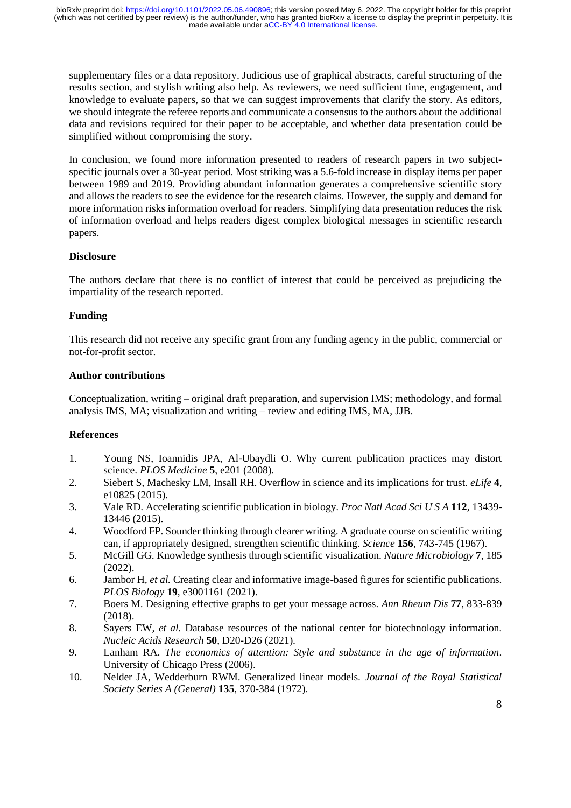made available under [aCC-BY 4.0 International license.](http://creativecommons.org/licenses/by/4.0/) (which was not certified by peer review) is the author/funder, who has granted bioRxiv a license to display the preprint in perpetuity. It is bioRxiv preprint doi: [https://doi.org/10.1101/2022.05.06.490896;](https://doi.org/10.1101/2022.05.06.490896) this version posted May 6, 2022. The copyright holder for this preprint

supplementary files or a data repository. Judicious use of graphical abstracts, careful structuring of the results section, and stylish writing also help. As reviewers, we need sufficient time, engagement, and knowledge to evaluate papers, so that we can suggest improvements that clarify the story. As editors, we should integrate the referee reports and communicate a consensus to the authors about the additional data and revisions required for their paper to be acceptable, and whether data presentation could be simplified without compromising the story.

In conclusion, we found more information presented to readers of research papers in two subjectspecific journals over a 30-year period. Most striking was a 5.6-fold increase in display items per paper between 1989 and 2019. Providing abundant information generates a comprehensive scientific story and allows the readers to see the evidence for the research claims. However, the supply and demand for more information risks information overload for readers. Simplifying data presentation reduces the risk of information overload and helps readers digest complex biological messages in scientific research papers.

# **Disclosure**

The authors declare that there is no conflict of interest that could be perceived as prejudicing the impartiality of the research reported.

# **Funding**

This research did not receive any specific grant from any funding agency in the public, commercial or not-for-profit sector.

# **Author contributions**

Conceptualization, writing – original draft preparation, and supervision IMS; methodology, and formal analysis IMS, MA; visualization and writing – review and editing IMS, MA, JJB.

# **References**

- 1. Young NS, Ioannidis JPA, Al-Ubaydli O. Why current publication practices may distort science. *PLOS Medicine* **5**, e201 (2008).
- 2. Siebert S, Machesky LM, Insall RH. Overflow in science and its implications for trust. *eLife* **4**, e10825 (2015).
- 3. Vale RD. Accelerating scientific publication in biology. *Proc Natl Acad Sci U S A* **112**, 13439- 13446 (2015).
- 4. Woodford FP. Sounder thinking through clearer writing. A graduate course on scientific writing can, if appropriately designed, strengthen scientific thinking. *Science* **156**, 743-745 (1967).
- 5. McGill GG. Knowledge synthesis through scientific visualization. *Nature Microbiology* **7**, 185 (2022).
- 6. Jambor H*, et al.* Creating clear and informative image-based figures for scientific publications. *PLOS Biology* **19**, e3001161 (2021).
- 7. Boers M. Designing effective graphs to get your message across. *Ann Rheum Dis* **77**, 833-839 (2018).
- 8. Sayers EW*, et al.* Database resources of the national center for biotechnology information. *Nucleic Acids Research* **50**, D20-D26 (2021).
- 9. Lanham RA. *The economics of attention: Style and substance in the age of information*. University of Chicago Press (2006).
- 10. Nelder JA, Wedderburn RWM. Generalized linear models. *Journal of the Royal Statistical Society Series A (General)* **135**, 370-384 (1972).